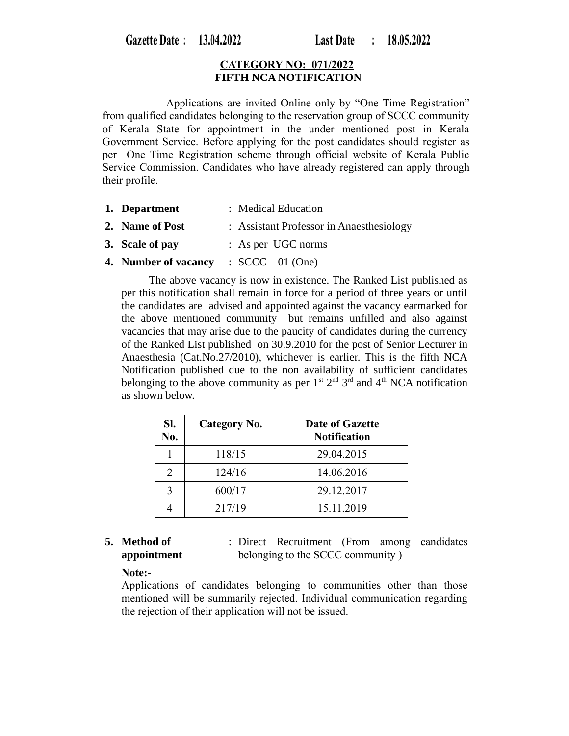Gazette Date: 13.04.2022

### **CATEGORY NO: 071/2022 FIFTH NCA NOTIFICATION**

 Applications are invited Online only by "One Time Registration" from qualified candidates belonging to the reservation group of SCCC community of Kerala State for appointment in the under mentioned post in Kerala Government Service. Before applying for the post candidates should register as per One Time Registration scheme through official website of Kerala Public Service Commission. Candidates who have already registered can apply through their profile.

- **1. Department** : Medical Education
- **2. Name of Post** : Assistant Professor in Anaesthesiology
- **3. Scale of pay** : As per UGC norms
- **4. Number of vacancy** : SCCC 01 (One)

 The above vacancy is now in existence. The Ranked List published as per this notification shall remain in force for a period of three years or until the candidates are advised and appointed against the vacancy earmarked for the above mentioned community but remains unfilled and also against vacancies that may arise due to the paucity of candidates during the currency of the Ranked List published on 30.9.2010 for the post of Senior Lecturer in Anaesthesia (Cat.No.27/2010), whichever is earlier. This is the fifth NCA Notification published due to the non availability of sufficient candidates belonging to the above community as per  $1^{st}$   $2^{nd}$   $3^{rd}$  and  $4^{th}$  NCA notification as shown below.

| SI.<br>No.    | Category No. | <b>Date of Gazette</b><br><b>Notification</b> |
|---------------|--------------|-----------------------------------------------|
|               | 118/15       | 29.04.2015                                    |
| $\mathcal{D}$ | 124/16       | 14.06.2016                                    |
| 3             | 600/17       | 29.12.2017                                    |
|               | 217/19       | 15.11.2019                                    |

### **5. Method of appointment**

: Direct Recruitment (From among candidates belonging to the SCCC community )

### **Note:-**

Applications of candidates belonging to communities other than those mentioned will be summarily rejected. Individual communication regarding the rejection of their application will not be issued.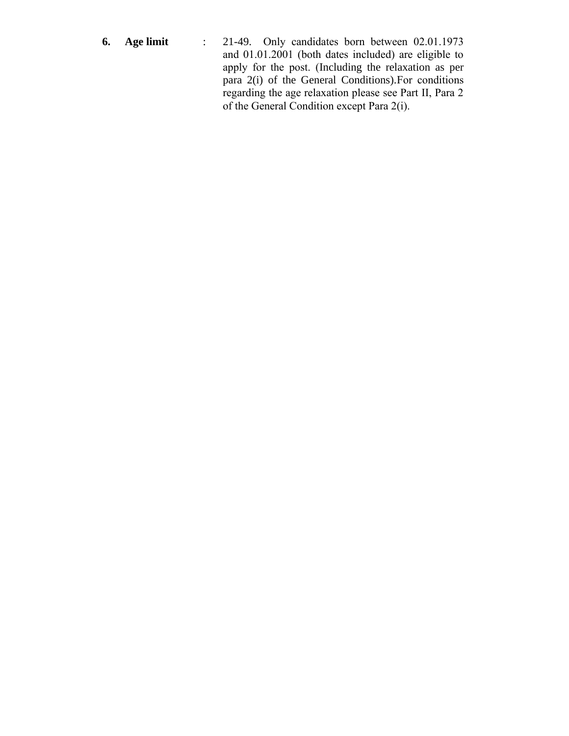**6. Age limit** : 21-49. Only candidates born between 02.01.1973 and 01.01.2001 (both dates included) are eligible to apply for the post. (Including the relaxation as per para 2(i) of the General Conditions).For conditions regarding the age relaxation please see Part II, Para 2 of the General Condition except Para 2(i).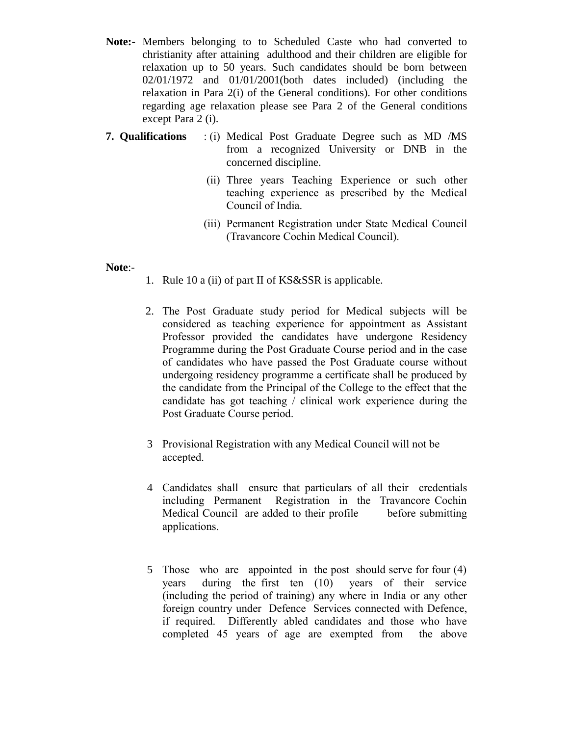- **Note:-** Members belonging to to Scheduled Caste who had converted to christianity after attaining adulthood and their children are eligible for relaxation up to 50 years. Such candidates should be born between 02/01/1972 and 01/01/2001(both dates included) (including the relaxation in Para 2(i) of the General conditions). For other conditions regarding age relaxation please see Para 2 of the General conditions except Para 2 (i).
- **7. Qualifications** : (i) Medical Post Graduate Degree such as MD /MS from a recognized University or DNB in the concerned discipline.
	- (ii) Three years Teaching Experience or such other teaching experience as prescribed by the Medical Council of India.
	- (iii) Permanent Registration under State Medical Council (Travancore Cochin Medical Council).

### **Note**:-

- 1. Rule 10 a (ii) of part II of KS&SSR is applicable.
- 2. The Post Graduate study period for Medical subjects will be considered as teaching experience for appointment as Assistant Professor provided the candidates have undergone Residency Programme during the Post Graduate Course period and in the case of candidates who have passed the Post Graduate course without undergoing residency programme a certificate shall be produced by the candidate from the Principal of the College to the effect that the candidate has got teaching / clinical work experience during the Post Graduate Course period.
- 3 Provisional Registration with any Medical Council will not be accepted.
- 4 Candidates shall ensure that particulars of all their credentials including Permanent Registration in the Travancore Cochin Medical Council are added to their profile before submitting applications.
- 5 Those who are appointed in the post should serve for four (4) years during the first ten (10) years of their service (including the period of training) any where in India or any other foreign country under Defence Services connected with Defence, if required. Differently abled candidates and those who have completed 45 years of age are exempted from the above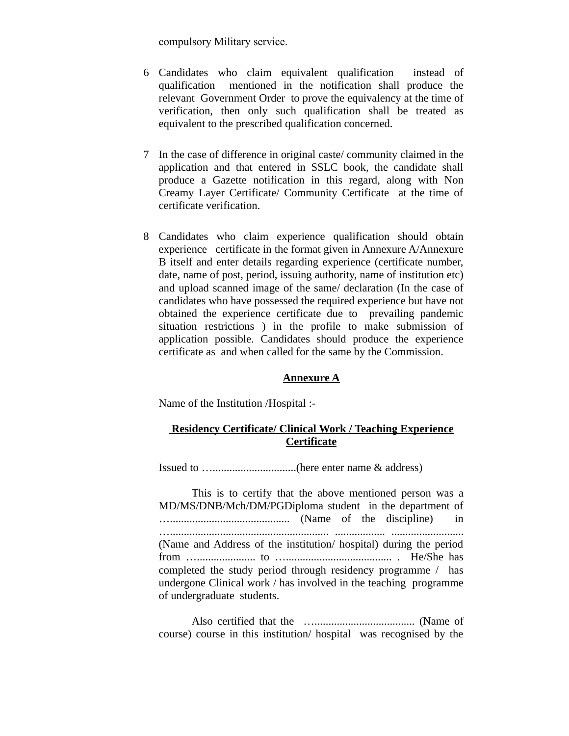compulsory Military service.

- 6 Candidates who claim equivalent qualification instead of qualification mentioned in the notification shall produce the relevant Government Order to prove the equivalency at the time of verification, then only such qualification shall be treated as equivalent to the prescribed qualification concerned.
- 7 In the case of difference in original caste/ community claimed in the application and that entered in SSLC book, the candidate shall produce a Gazette notification in this regard, along with Non Creamy Layer Certificate/ Community Certificate at the time of certificate verification.
- 8 Candidates who claim experience qualification should obtain experience certificate in the format given in Annexure A/Annexure B itself and enter details regarding experience (certificate number, date, name of post, period, issuing authority, name of institution etc) and upload scanned image of the same/ declaration (In the case of candidates who have possessed the required experience but have not obtained the experience certificate due to prevailing pandemic situation restrictions ) in the profile to make submission of application possible. Candidates should produce the experience certificate as and when called for the same by the Commission.

### **Annexure A**

Name of the Institution /Hospital :-

# **Residency Certificate/ Clinical Work / Teaching Experience Certificate**

Issued to …..............................(here enter name & address)

This is to certify that the above mentioned person was a MD/MS/DNB/Mch/DM/PGDiploma student in the department of …........................................... (Name of the discipline) in …......................................................... .................. .......................... (Name and Address of the institution/ hospital) during the period from …..................... to …...................................... . He/She has completed the study period through residency programme / has undergone Clinical work / has involved in the teaching programme of undergraduate students.

Also certified that the ….................................... (Name of course) course in this institution/ hospital was recognised by the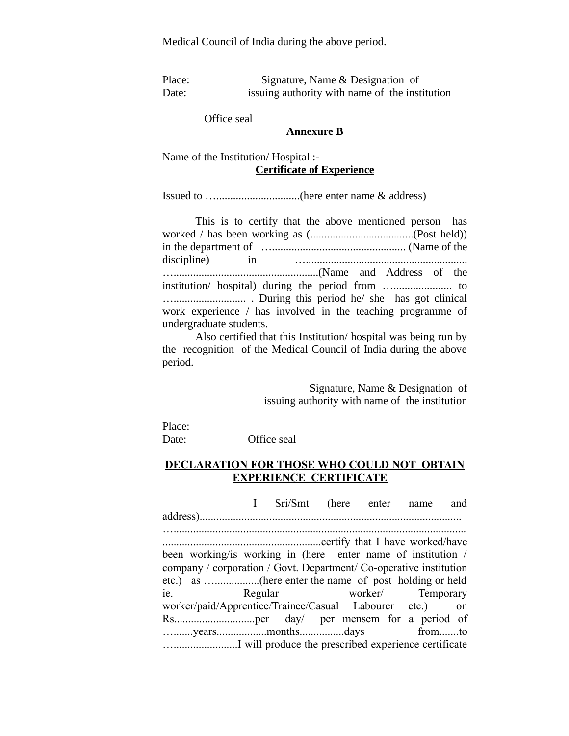Medical Council of India during the above period.

Place: Signature, Name & Designation of Date: issuing authority with name of the institution

Office seal

#### **Annexure B**

Name of the Institution/ Hospital :- **Certificate of Experience**

Issued to …..............................(here enter name & address)

This is to certify that the above mentioned person has worked / has been working as (.....................................(Post held)) in the department of …................................................ (Name of the discipline) in ….......................................................... …....................................................(Name and Address of the institution/ hospital) during the period from …..................... to ….......................... . During this period he/ she has got clinical work experience / has involved in the teaching programme of undergraduate students.

Also certified that this Institution/ hospital was being run by the recognition of the Medical Council of India during the above period.

> Signature, Name & Designation of issuing authority with name of the institution

Place:

Date: Office seal

## **DECLARATION FOR THOSE WHO COULD NOT OBTAIN EXPERIENCE CERTIFICATE**

I Sri/Smt (here enter name and

address).............................................................................................. ….........................................................................................................

.........................................................certify that I have worked/have been working/is working in (here enter name of institution / company / corporation / Govt. Department/ Co-operative institution etc.) as …................(here enter the name of post holding or held ie. Regular worker/ Temporary worker/paid/Apprentice/Trainee/Casual Labourer etc.) on Rs.............................per day/ per mensem for a period of ….......years..................months................days from.......to ….......................I will produce the prescribed experience certificate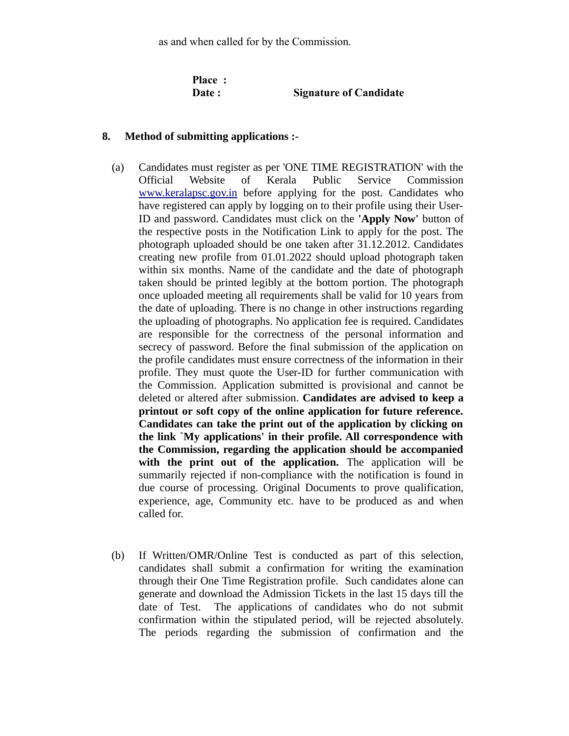as and when called for by the Commission.

**Place :** 

### **Date : Signature of Candidate**

### **8. Method of submitting applications :-**

- (a) Candidates must register as per 'ONE TIME REGISTRATION' with the Official Website of Kerala Public Service Commission [www.keralapsc.gov.in](http://www.kerealapsc.gov.in/) before applying for the post. Candidates who have registered can apply by logging on to their profile using their User-ID and password. Candidates must click on the **'Apply Now'** button of the respective posts in the Notification Link to apply for the post. The photograph uploaded should be one taken after 31.12.2012. Candidates creating new profile from 01.01.2022 should upload photograph taken within six months. Name of the candidate and the date of photograph taken should be printed legibly at the bottom portion. The photograph once uploaded meeting all requirements shall be valid for 10 years from the date of uploading. There is no change in other instructions regarding the uploading of photographs. No application fee is required. Candidates are responsible for the correctness of the personal information and secrecy of password. Before the final submission of the application on the profile candidates must ensure correctness of the information in their profile. They must quote the User-ID for further communication with the Commission. Application submitted is provisional and cannot be deleted or altered after submission. **Candidates are advised to keep a printout or soft copy of the online application for future reference. Candidates can take the print out of the application by clicking on the link `My applications' in their profile. All correspondence with the Commission, regarding the application should be accompanied with the print out of the application.** The application will be summarily rejected if non-compliance with the notification is found in due course of processing. Original Documents to prove qualification, experience, age, Community etc. have to be produced as and when called for.
- (b) If Written/OMR/Online Test is conducted as part of this selection, candidates shall submit a confirmation for writing the examination through their One Time Registration profile. Such candidates alone can generate and download the Admission Tickets in the last 15 days till the date of Test. The applications of candidates who do not submit confirmation within the stipulated period, will be rejected absolutely. The periods regarding the submission of confirmation and the